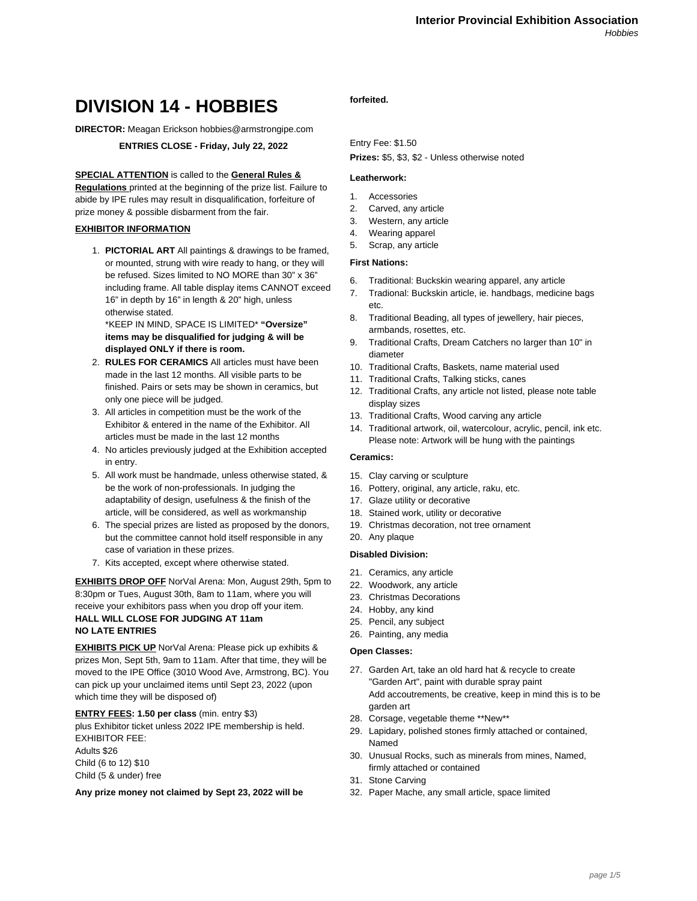# **DIVISION 14 - HOBBIES**

# **DIRECTOR:** Meagan Erickson hobbies@armstrongipe.com

**ENTRIES CLOSE - Friday, July 22, 2022**

## **SPECIAL ATTENTION** is called to the **General Rules &**

**Regulations** printed at the beginning of the prize list. Failure to abide by IPE rules may result in disqualification, forfeiture of prize money & possible disbarment from the fair.

# **EXHIBITOR INFORMATION**

1. **PICTORIAL ART** All paintings & drawings to be framed, or mounted, strung with wire ready to hang, or they will be refused. Sizes limited to NO MORE than 30" x 36" including frame. All table display items CANNOT exceed 16" in depth by 16" in length & 20" high, unless otherwise stated.

\*KEEP IN MIND, SPACE IS LIMITED\* **"Oversize" items may be disqualified for judging & will be displayed ONLY if there is room.**

- 2. **RULES FOR CERAMICS** All articles must have been made in the last 12 months. All visible parts to be finished. Pairs or sets may be shown in ceramics, but only one piece will be judged.
- 3. All articles in competition must be the work of the Exhibitor & entered in the name of the Exhibitor. All articles must be made in the last 12 months
- 4. No articles previously judged at the Exhibition accepted in entry.
- 5. All work must be handmade, unless otherwise stated, & be the work of non-professionals. In judging the adaptability of design, usefulness & the finish of the article, will be considered, as well as workmanship
- 6. The special prizes are listed as proposed by the donors, but the committee cannot hold itself responsible in any case of variation in these prizes.
- 7. Kits accepted, except where otherwise stated.

**EXHIBITS DROP OFF** NorVal Arena: Mon, August 29th, 5pm to 8:30pm or Tues, August 30th, 8am to 11am, where you will receive your exhibitors pass when you drop off your item. **HALL WILL CLOSE FOR JUDGING AT 11am NO LATE ENTRIES**

**EXHIBITS PICK UP** NorVal Arena: Please pick up exhibits & prizes Mon, Sept 5th, 9am to 11am. After that time, they will be moved to the IPE Office (3010 Wood Ave, Armstrong, BC). You can pick up your unclaimed items until Sept 23, 2022 (upon which time they will be disposed of)

## **ENTRY FEES: 1.50 per class** (min. entry \$3)

plus Exhibitor ticket unless 2022 IPE membership is held. EXHIBITOR FEE:

Adults \$26 Child (6 to 12) \$10 Child (5 & under) free

**Any prize money not claimed by Sept 23, 2022 will be**

# **forfeited.**

Entry Fee: \$1.50

**Prizes:** \$5, \$3, \$2 - Unless otherwise noted

#### **Leatherwork:**

- 1. Accessories
- 2. Carved, any article
- 3. Western, any article
- 4. Wearing apparel
- 5. Scrap, any article

# **First Nations:**

- 6. Traditional: Buckskin wearing apparel, any article
- 7. Tradional: Buckskin article, ie. handbags, medicine bags etc.
- 8. Traditional Beading, all types of jewellery, hair pieces, armbands, rosettes, etc.
- 9. Traditional Crafts, Dream Catchers no larger than 10" in diameter
- 10. Traditional Crafts, Baskets, name material used
- 11. Traditional Crafts, Talking sticks, canes
- 12. Traditional Crafts, any article not listed, please note table display sizes
- 13. Traditional Crafts, Wood carving any article
- 14. Traditional artwork, oil, watercolour, acrylic, pencil, ink etc. Please note: Artwork will be hung with the paintings

## **Ceramics:**

- 15. Clay carving or sculpture
- 16. Pottery, original, any article, raku, etc.
- 17. Glaze utility or decorative
- 18. Stained work, utility or decorative
- 19. Christmas decoration, not tree ornament
- 20. Any plaque

# **Disabled Division:**

- 21. Ceramics, any article
- 22. Woodwork, any article
- 23. Christmas Decorations
- 24. Hobby, any kind
- 25. Pencil, any subject
- 26. Painting, any media

## **Open Classes:**

- 27. Garden Art, take an old hard hat & recycle to create "Garden Art", paint with durable spray paint Add accoutrements, be creative, keep in mind this is to be garden art
- 28. Corsage, vegetable theme \*\*New\*\*
- 29. Lapidary, polished stones firmly attached or contained, Named
- 30. Unusual Rocks, such as minerals from mines, Named, firmly attached or contained
- 31. Stone Carving
- 32. Paper Mache, any small article, space limited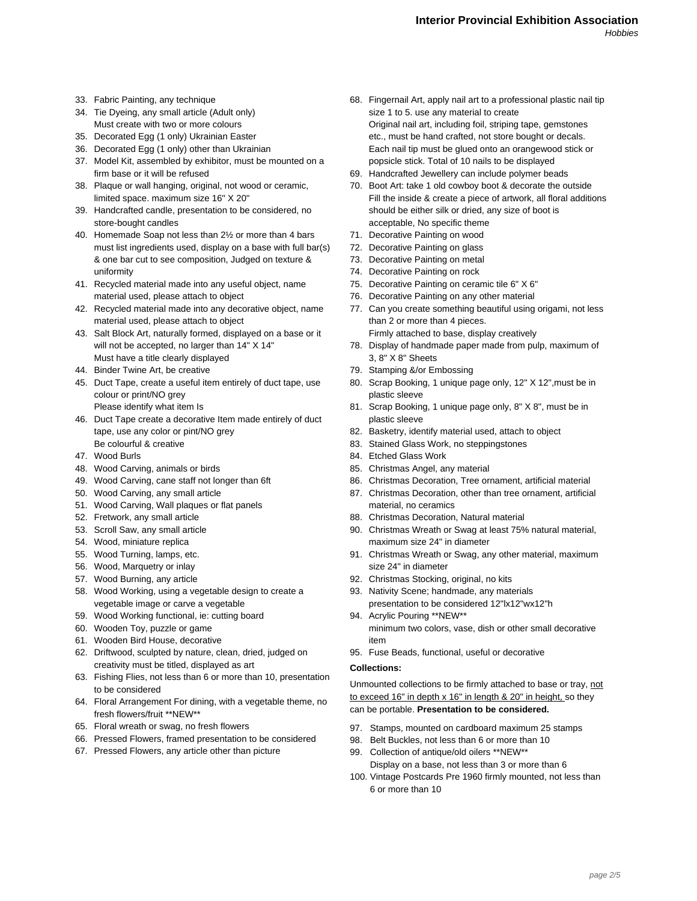- 33. Fabric Painting, any technique
- 34. Tie Dyeing, any small article (Adult only) Must create with two or more colours
- 35. Decorated Egg (1 only) Ukrainian Easter
- 36. Decorated Egg (1 only) other than Ukrainian
- 37. Model Kit, assembled by exhibitor, must be mounted on a firm base or it will be refused
- 38. Plaque or wall hanging, original, not wood or ceramic, limited space. maximum size 16" X 20"
- 39. Handcrafted candle, presentation to be considered, no store-bought candles
- 40. Homemade Soap not less than 2½ or more than 4 bars must list ingredients used, display on a base with full bar(s) & one bar cut to see composition, Judged on texture & uniformity
- 41. Recycled material made into any useful object, name material used, please attach to object
- 42. Recycled material made into any decorative object, name material used, please attach to object
- 43. Salt Block Art, naturally formed, displayed on a base or it will not be accepted, no larger than 14" X 14" Must have a title clearly displayed
- 44. Binder Twine Art, be creative
- 45. Duct Tape, create a useful item entirely of duct tape, use colour or print/NO grey Please identify what item Is
- 46. Duct Tape create a decorative Item made entirely of duct tape, use any color or pint/NO grey Be colourful & creative
- 47. Wood Burls
- 48. Wood Carving, animals or birds
- 49. Wood Carving, cane staff not longer than 6ft
- 50. Wood Carving, any small article
- 51. Wood Carving, Wall plaques or flat panels
- 52. Fretwork, any small article
- 53. Scroll Saw, any small article
- 54. Wood, miniature replica
- 55. Wood Turning, lamps, etc.
- 56. Wood, Marquetry or inlay
- 57. Wood Burning, any article
- 58. Wood Working, using a vegetable design to create a vegetable image or carve a vegetable
- 59. Wood Working functional, ie: cutting board
- 60. Wooden Toy, puzzle or game
- 61. Wooden Bird House, decorative
- 62. Driftwood, sculpted by nature, clean, dried, judged on creativity must be titled, displayed as art
- 63. Fishing Flies, not less than 6 or more than 10, presentation to be considered
- 64. Floral Arrangement For dining, with a vegetable theme, no fresh flowers/fruit \*\*NEW\*\*
- 65. Floral wreath or swag, no fresh flowers
- 66. Pressed Flowers, framed presentation to be considered
- 67. Pressed Flowers, any article other than picture
- 68. Fingernail Art, apply nail art to a professional plastic nail tip size 1 to 5. use any material to create Original nail art, including foil, striping tape, gemstones etc., must be hand crafted, not store bought or decals. Each nail tip must be glued onto an orangewood stick or popsicle stick. Total of 10 nails to be displayed
- 69. Handcrafted Jewellery can include polymer beads
- 70. Boot Art: take 1 old cowboy boot & decorate the outside Fill the inside & create a piece of artwork, all floral additions should be either silk or dried, any size of boot is acceptable, No specific theme
- 71. Decorative Painting on wood
- 72. Decorative Painting on glass
- 73. Decorative Painting on metal
- 74. Decorative Painting on rock
- 75. Decorative Painting on ceramic tile 6" X 6"
- 76. Decorative Painting on any other material
- 77. Can you create something beautiful using origami, not less than 2 or more than 4 pieces.
	- Firmly attached to base, display creatively
- 78. Display of handmade paper made from pulp, maximum of 3, 8" X 8" Sheets
- 79. Stamping &/or Embossing
- 80. Scrap Booking, 1 unique page only, 12" X 12",must be in plastic sleeve
- 81. Scrap Booking, 1 unique page only, 8" X 8", must be in plastic sleeve
- 82. Basketry, identify material used, attach to object
- 83. Stained Glass Work, no steppingstones
- 84. Etched Glass Work
- 85. Christmas Angel, any material
- 86. Christmas Decoration, Tree ornament, artificial material
- 87. Christmas Decoration, other than tree ornament, artificial material, no ceramics
- 88. Christmas Decoration, Natural material
- 90. Christmas Wreath or Swag at least 75% natural material, maximum size 24" in diameter
- 91. Christmas Wreath or Swag, any other material, maximum size 24" in diameter
- 92. Christmas Stocking, original, no kits
- 93. Nativity Scene; handmade, any materials presentation to be considered 12"lx12"wx12"h
- 94. Acrylic Pouring \*\*NEW\*\* minimum two colors, vase, dish or other small decorative
- item
- 95. Fuse Beads, functional, useful or decorative

# **Collections:**

Unmounted collections to be firmly attached to base or tray, not to exceed 16" in depth x 16" in length & 20" in height, so they can be portable. **Presentation to be considered.**

- 97. Stamps, mounted on cardboard maximum 25 stamps
- 98. Belt Buckles, not less than 6 or more than 10
- 99. Collection of antique/old oilers \*\*NEW\*\* Display on a base, not less than 3 or more than 6
- 100. Vintage Postcards Pre 1960 firmly mounted, not less than 6 or more than 10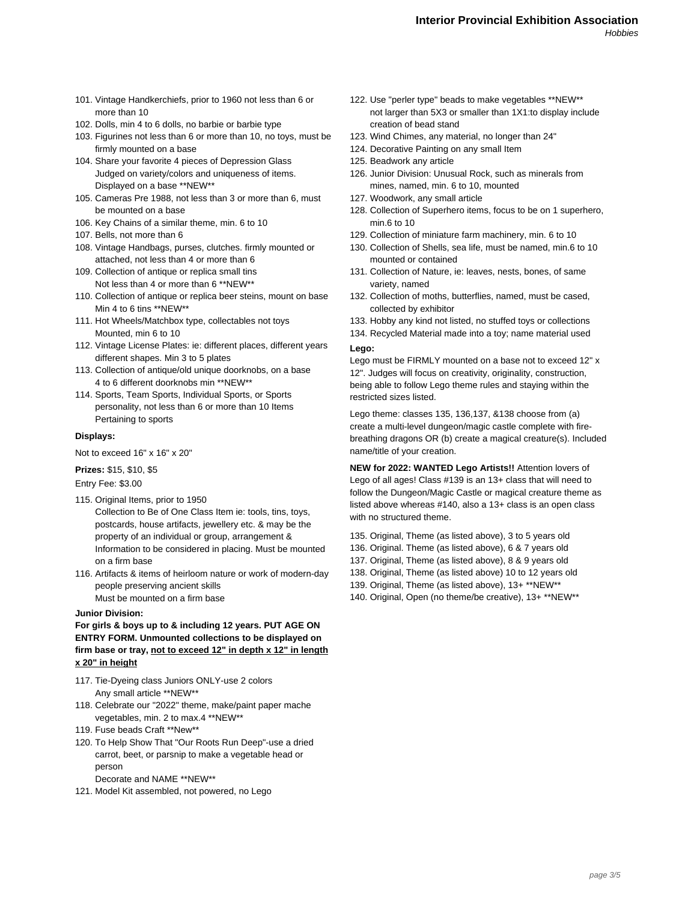- 101. Vintage Handkerchiefs, prior to 1960 not less than 6 or more than 10
- 102. Dolls, min 4 to 6 dolls, no barbie or barbie type
- 103. Figurines not less than 6 or more than 10, no toys, must be firmly mounted on a base
- 104. Share your favorite 4 pieces of Depression Glass Judged on variety/colors and uniqueness of items. Displayed on a base \*\*NEW\*\*
- 105. Cameras Pre 1988, not less than 3 or more than 6, must be mounted on a base
- 106. Key Chains of a similar theme, min. 6 to 10
- 107. Bells, not more than 6
- 108. Vintage Handbags, purses, clutches. firmly mounted or attached, not less than 4 or more than 6
- 109. Collection of antique or replica small tins Not less than 4 or more than 6 \*\*NEW\*\*
- 110. Collection of antique or replica beer steins, mount on base Min 4 to 6 tins \*\*NEW\*\*
- 111. Hot Wheels/Matchbox type, collectables not toys Mounted, min 6 to 10
- 112. Vintage License Plates: ie: different places, different years different shapes. Min 3 to 5 plates
- 113. Collection of antique/old unique doorknobs, on a base 4 to 6 different doorknobs min \*\*NEW\*\*
- 114. Sports, Team Sports, Individual Sports, or Sports personality, not less than 6 or more than 10 Items Pertaining to sports

#### **Displays:**

Not to exceed 16" x 16" x 20"

**Prizes:** \$15, \$10, \$5

Entry Fee: \$3.00

- 115. Original Items, prior to 1950 Collection to Be of One Class Item ie: tools, tins, toys, postcards, house artifacts, jewellery etc. & may be the property of an individual or group, arrangement & Information to be considered in placing. Must be mounted on a firm base
- 116. Artifacts & items of heirloom nature or work of modern-day people preserving ancient skills Must be mounted on a firm base

#### **Junior Division:**

**For girls & boys up to & including 12 years. PUT AGE ON ENTRY FORM. Unmounted collections to be displayed on firm base or tray, not to exceed 12" in depth x 12" in length x 20" in height**

- 117. Tie-Dyeing class Juniors ONLY-use 2 colors Any small article \*\*NEW\*\*
- 118. Celebrate our "2022" theme, make/paint paper mache vegetables, min. 2 to max.4 \*\*NEW\*\*
- 119. Fuse beads Craft \*\*New\*\*
- 120. To Help Show That "Our Roots Run Deep"-use a dried carrot, beet, or parsnip to make a vegetable head or person Decorate and NAME \*\*NEW\*\*
- 121. Model Kit assembled, not powered, no Lego
- 122. Use "perler type" beads to make vegetables \*\*NEW\*\* not larger than 5X3 or smaller than 1X1:to display include creation of bead stand
- 123. Wind Chimes, any material, no longer than 24"
- 124. Decorative Painting on any small Item
- 125. Beadwork any article
- 126. Junior Division: Unusual Rock, such as minerals from mines, named, min. 6 to 10, mounted
- 127. Woodwork, any small article
- 128. Collection of Superhero items, focus to be on 1 superhero, min.6 to 10
- 129. Collection of miniature farm machinery, min. 6 to 10
- 130. Collection of Shells, sea life, must be named, min.6 to 10 mounted or contained
- 131. Collection of Nature, ie: leaves, nests, bones, of same variety, named
- 132. Collection of moths, butterflies, named, must be cased, collected by exhibitor
- 133. Hobby any kind not listed, no stuffed toys or collections
- 134. Recycled Material made into a toy; name material used

# **Lego:**

Lego must be FIRMLY mounted on a base not to exceed 12" x 12". Judges will focus on creativity, originality, construction, being able to follow Lego theme rules and staying within the restricted sizes listed.

Lego theme: classes 135, 136,137, &138 choose from (a) create a multi-level dungeon/magic castle complete with firebreathing dragons OR (b) create a magical creature(s). Included name/title of your creation.

**NEW for 2022: WANTED Lego Artists!!** Attention lovers of Lego of all ages! Class #139 is an 13+ class that will need to follow the Dungeon/Magic Castle or magical creature theme as listed above whereas #140, also a 13+ class is an open class with no structured theme.

- 135. Original, Theme (as listed above), 3 to 5 years old
- 136. Original. Theme (as listed above), 6 & 7 years old
- 137. Original, Theme (as listed above), 8 & 9 years old
- 138. Original, Theme (as listed above) 10 to 12 years old
- 139. Original, Theme (as listed above), 13+ \*\*NEW\*\*
- 140. Original, Open (no theme/be creative), 13+ \*\*NEW\*\*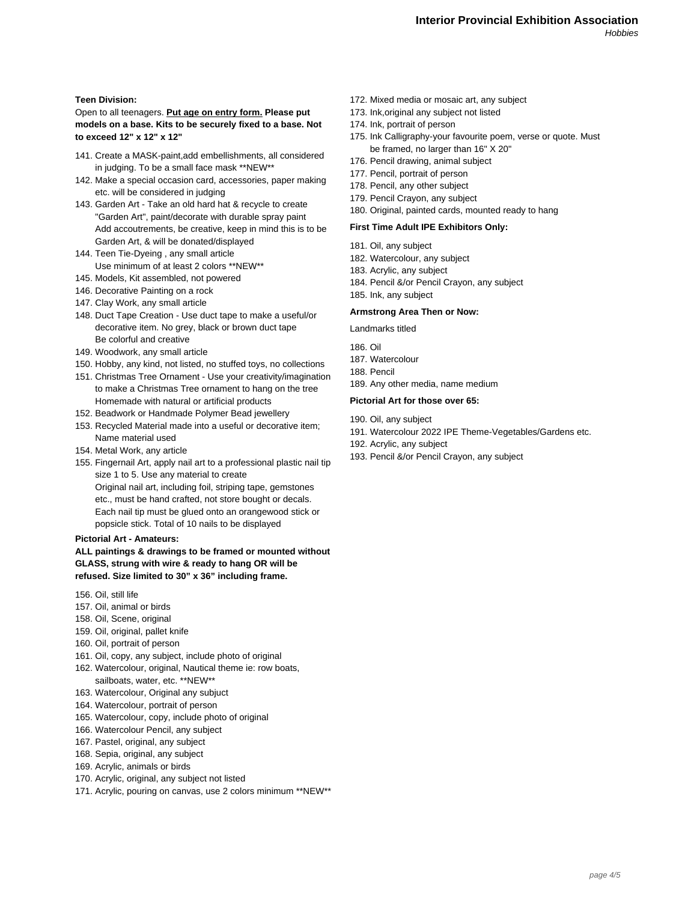## **Teen Division:**

Open to all teenagers. **Put age on entry form. Please put models on a base. Kits to be securely fixed to a base. Not to exceed 12" x 12" x 12"**

- 141. Create a MASK-paint,add embellishments, all considered in judging. To be a small face mask \*\*NEW\*\*
- 142. Make a special occasion card, accessories, paper making etc. will be considered in judging
- 143. Garden Art Take an old hard hat & recycle to create "Garden Art", paint/decorate with durable spray paint Add accoutrements, be creative, keep in mind this is to be Garden Art, & will be donated/displayed
- 144. Teen Tie-Dyeing , any small article Use minimum of at least 2 colors \*\*NEW\*\*
- 145. Models, Kit assembled, not powered
- 146. Decorative Painting on a rock
- 147. Clay Work, any small article
- 148. Duct Tape Creation Use duct tape to make a useful/or decorative item. No grey, black or brown duct tape Be colorful and creative
- 149. Woodwork, any small article
- 150. Hobby, any kind, not listed, no stuffed toys, no collections
- 151. Christmas Tree Ornament Use your creativity/imagination to make a Christmas Tree ornament to hang on the tree Homemade with natural or artificial products
- 152. Beadwork or Handmade Polymer Bead jewellery
- 153. Recycled Material made into a useful or decorative item; Name material used
- 154. Metal Work, any article
- 155. Fingernail Art, apply nail art to a professional plastic nail tip size 1 to 5. Use any material to create Original nail art, including foil, striping tape, gemstones etc., must be hand crafted, not store bought or decals. Each nail tip must be glued onto an orangewood stick or popsicle stick. Total of 10 nails to be displayed

## **Pictorial Art - Amateurs:**

**ALL paintings & drawings to be framed or mounted without GLASS, strung with wire & ready to hang OR will be refused. Size limited to 30" x 36" including frame.**

- 156. Oil, still life
- 157. Oil, animal or birds
- 158. Oil, Scene, original
- 159. Oil, original, pallet knife
- 160. Oil, portrait of person
- 161. Oil, copy, any subject, include photo of original
- 162. Watercolour, original, Nautical theme ie: row boats, sailboats, water, etc. \*\*NEW\*\*
- 163. Watercolour, Original any subjuct
- 164. Watercolour, portrait of person
- 165. Watercolour, copy, include photo of original
- 166. Watercolour Pencil, any subject
- 167. Pastel, original, any subject
- 168. Sepia, original, any subject
- 169. Acrylic, animals or birds
- 170. Acrylic, original, any subject not listed
- 171. Acrylic, pouring on canvas, use 2 colors minimum \*\*NEW\*\*
- 172. Mixed media or mosaic art, any subject
- 173. Ink,original any subject not listed
- 174. Ink, portrait of person
- 175. Ink Calligraphy-your favourite poem, verse or quote. Must be framed, no larger than 16" X 20"
- 176. Pencil drawing, animal subject
- 177. Pencil, portrait of person
- 178. Pencil, any other subject
- 179. Pencil Crayon, any subject
- 180. Original, painted cards, mounted ready to hang

## **First Time Adult IPE Exhibitors Only:**

- 181. Oil, any subject
- 182. Watercolour, any subject
- 183. Acrylic, any subject
- 184. Pencil &/or Pencil Crayon, any subject
- 185. Ink, any subject

## **Armstrong Area Then or Now:**

Landmarks titled

186. Oil

- 187. Watercolour
- 188. Pencil
- 189. Any other media, name medium

#### **Pictorial Art for those over 65:**

- 190. Oil, any subject
- 191. Watercolour 2022 IPE Theme-Vegetables/Gardens etc.
- 192. Acrylic, any subject
- 193. Pencil &/or Pencil Crayon, any subject